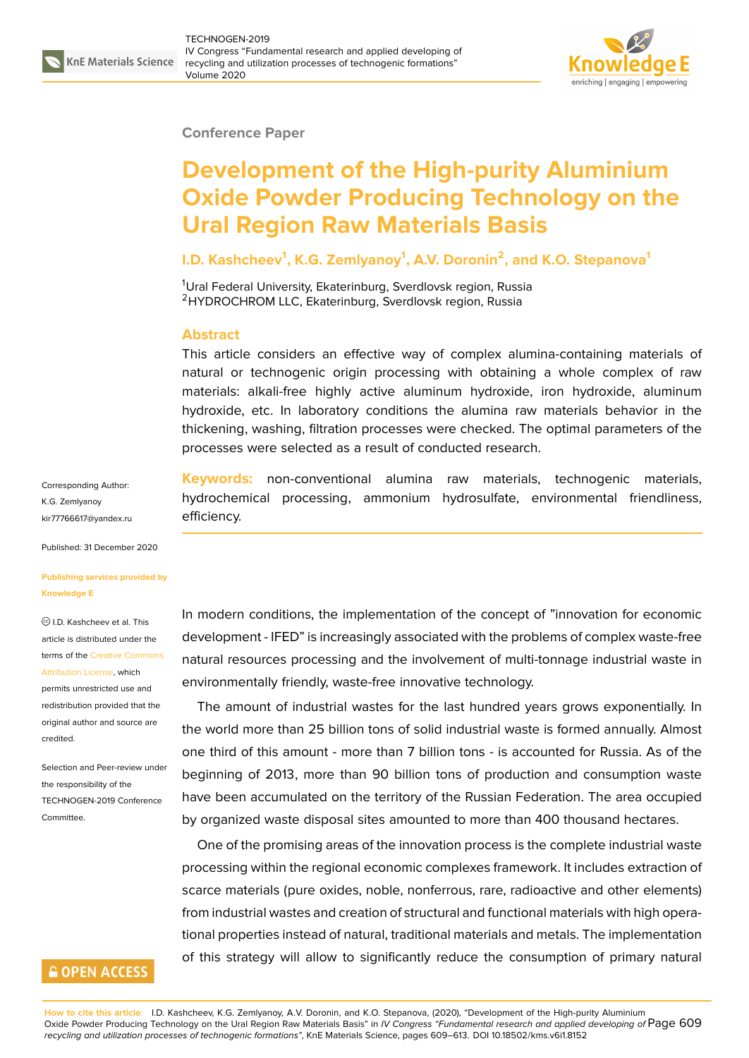

#### **Conference Paper**

# **Development of the High-purity Aluminium Oxide Powder Producing Technology on the Ural Region Raw Materials Basis**

### **I.D. Kashcheev<sup>1</sup> , K.G. Zemlyanoy<sup>1</sup> , A.V. Doronin<sup>2</sup> , and K.O. Stepanova<sup>1</sup>**

<sup>1</sup>Ural Federal University, Ekaterinburg, Sverdlovsk region, Russia <sup>2</sup>HYDROCHROM LLC, Ekaterinburg, Sverdlovsk region, Russia

#### **Abstract**

This article considers an effective way of complex alumina-containing materials of natural or technogenic origin processing with obtaining a whole complex of raw materials: alkali-free highly active aluminum hydroxide, iron hydroxide, aluminum hydroxide, etc. In laboratory conditions the alumina raw materials behavior in the thickening, washing, filtration processes were checked. The optimal parameters of the processes were selected as a result of conducted research.

Corresponding Author: K.G. Zemlyanoy kir77766617@yandex.ru

Published: 31 December 2020

#### **[Publishing services pro](mailto:kir77766617@yandex.ru)vided by Knowledge E**

I.D. Kashcheev et al. This article is distributed under the terms of the Creative Commons Attribution License, which

permits unrestricted use and redistribution provided that the original auth[or and source are](https://creativecommons.org/licenses/by/4.0/) [credited.](https://creativecommons.org/licenses/by/4.0/)

Selection and Peer-review under the responsibility of the TECHNOGEN-2019 Conference Committee.

### **GOPEN ACCESS**

**Keywords:** non-conventional alumina raw materials, technogenic materials, hydrochemical processing, ammonium hydrosulfate, environmental friendliness, efficiency.

In modern conditions, the implementation of the concept of "innovation for economic development - IFED" is increasingly associated with the problems of complex waste-free natural resources processing and the involvement of multi-tonnage industrial waste in environmentally friendly, waste-free innovative technology.

The amount of industrial wastes for the last hundred years grows exponentially. In the world more than 25 billion tons of solid industrial waste is formed annually. Almost one third of this amount - more than 7 billion tons - is accounted for Russia. As of the beginning of 2013, more than 90 billion tons of production and consumption waste have been accumulated on the territory of the Russian Federation. The area occupied by organized waste disposal sites amounted to more than 400 thousand hectares.

One of the promising areas of the innovation process is the complete industrial waste processing within the regional economic complexes framework. It includes extraction of scarce materials (pure oxides, noble, nonferrous, rare, radioactive and other elements) from industrial wastes and creation of structural and functional materials with high operational properties instead of natural, traditional materials and metals. The implementation of this strategy will allow to significantly reduce the consumption of primary natural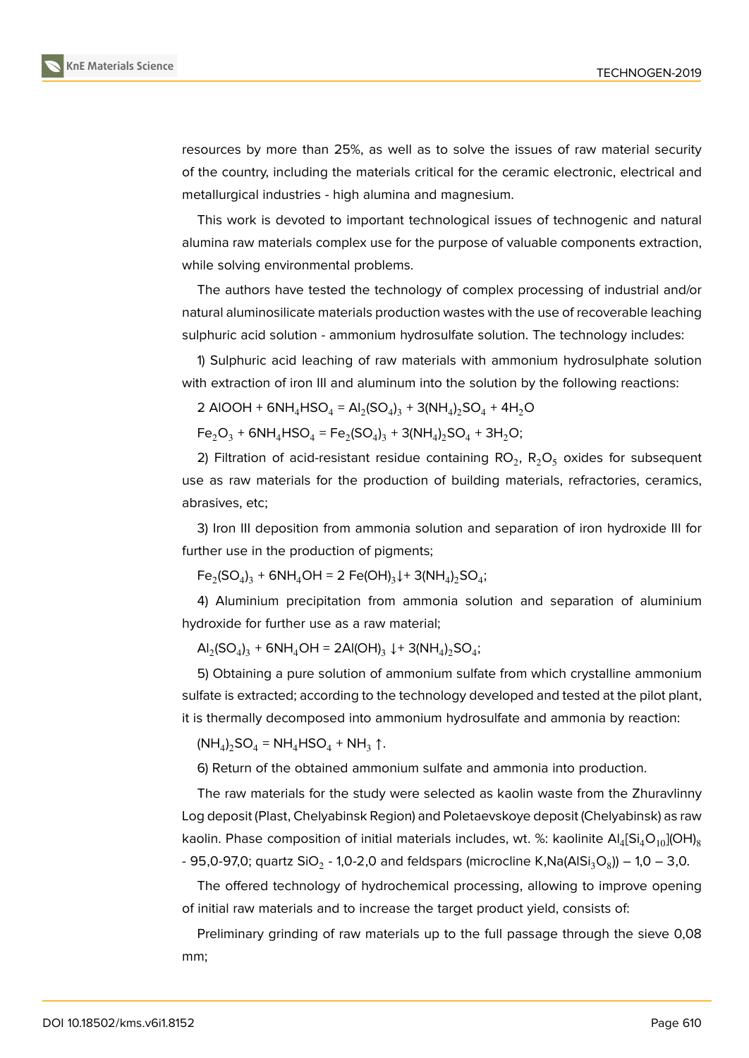

resources by more than 25%, as well as to solve the issues of raw material security of the country, including the materials critical for the ceramic electronic, electrical and metallurgical industries - high alumina and magnesium.

This work is devoted to important technological issues of technogenic and natural alumina raw materials complex use for the purpose of valuable components extraction, while solving environmental problems.

The authors have tested the technology of complex processing of industrial and/or natural aluminosilicate materials production wastes with the use of recoverable leaching sulphuric acid solution - ammonium hydrosulfate solution. The technology includes:

1) Sulphuric acid leaching of raw materials with ammonium hydrosulphate solution with extraction of iron III and aluminum into the solution by the following reactions:

2 AIOOH + 6NH<sub>4</sub>HSO<sub>4</sub> = AI<sub>2</sub>(SO<sub>4</sub>)<sub>3</sub> + 3(NH<sub>4</sub>)<sub>2</sub>SO<sub>4</sub> + 4H<sub>2</sub>O

 $Fe<sub>2</sub>O<sub>3</sub> + 6NH<sub>4</sub>HSO<sub>4</sub> = Fe<sub>2</sub>(SO<sub>4</sub>)<sub>3</sub> + 3(NH<sub>4</sub>)<sub>2</sub>SO<sub>4</sub> + 3H<sub>2</sub>O;$ 

2) Filtration of acid-resistant residue containing  $\text{RO}_2$ ,  $\text{R}_2\text{O}_5$  oxides for subsequent use as raw materials for the production of building materials, refractories, ceramics, abrasives, etc;

3) Iron III deposition from ammonia solution and separation of iron hydroxide III for further use in the production of pigments;

 $Fe<sub>2</sub>(SO<sub>4</sub>)<sub>3</sub> + 6NH<sub>4</sub>OH = 2 Fe(OH)<sub>3</sub> \downarrow + 3(NH<sub>4</sub>)<sub>2</sub> SO<sub>4</sub>;$ 

4) Aluminium precipitation from ammonia solution and separation of aluminium hydroxide for further use as a raw material;

 $\mathsf{Al}_2(\mathsf{SO}_4)_3 + \mathsf{6NH}_4\mathsf{OH} = 2\mathsf{Al}(\mathsf{OH})_3 \downarrow + 3(\mathsf{NH}_4)_2\mathsf{SO}_4;$ 

5) Obtaining a pure solution of ammonium sulfate from which crystalline ammonium sulfate is extracted; according to the technology developed and tested at the pilot plant, it is thermally decomposed into ammonium hydrosulfate and ammonia by reaction:

 $(NH_4)_2$ SO<sub>4</sub> = NH<sub>4</sub>HSO<sub>4</sub> + NH<sub>3</sub> ↑.

6) Return of the obtained ammonium sulfate and ammonia into production.

The raw materials for the study were selected as kaolin waste from the Zhuravlinny Log deposit (Plast, Chelyabinsk Region) and Poletaevskoye deposit (Chelyabinsk) as raw kaolin. Phase composition of initial materials includes, wt. %: kaolinite  $\mathsf{Al}_4[\mathsf{Si}_4\mathsf{O}_{10}]$ (OH) $_8$ - 95,0-97,0; quartz SiO $_2$  - 1,0-2,0 and feldspars (microcline K,Na(AlSi $_3$ O $_8$ )) – 1,0 – 3,0.

The offered technology of hydrochemical processing, allowing to improve opening of initial raw materials and to increase the target product yield, consists of:

Preliminary grinding of raw materials up to the full passage through the sieve 0,08 mm;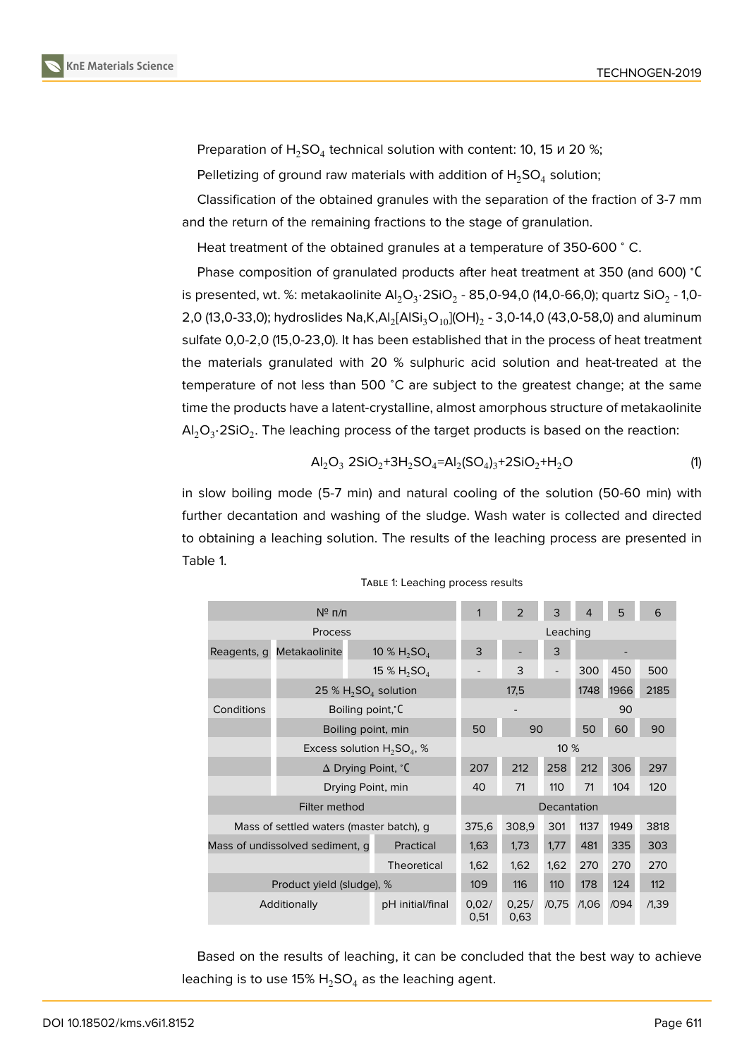



Preparation of  $H_2$ SO<sub>4</sub> technical solution with content: 10, 15 и 20 %;

Pelletizing of ground raw materials with addition of  $H_2$ SO<sub>4</sub> solution;

Classification of the obtained granules with the separation of the fraction of 3-7 mm and the return of the remaining fractions to the stage of granulation.

Heat treatment of the obtained granules at a temperature of 350-600 °C.

Phase composition of granulated products after heat treatment at 350 (and 600) <sup>∘</sup>С is presented, wt. %: metakaolinite Al $_2$ O $_3$ ·2SiO $_2$  - 85,0-94,0 (14,0-66,0); quartz SiO $_2$  - 1,0-2,0 (13,0-33,0); hydroslides Na,K,Al $_2$ [AlSi $_3$ O $_{10}$ ](OH) $_2$  - 3,0-14,0 (43,0-58,0) and aluminum sulfate 0,0-2,0 (15,0-23,0). It has been established that in the process of heat treatment the materials granulated with 20 % sulphuric acid solution and heat-treated at the temperature of not less than 500 <sup>∘</sup>C are subject to the greatest change; at the same time the products have a latent-crystalline, almost amorphous structure of metakaolinite Al $_2$ O $_3$ •2SiO $_2$ . The leaching process of the target products is based on the reaction:

$$
Al_2O_3 2SiO_2 + 3H_2SO_4 = Al_2(SO_4)_3 + 2SiO_2 + H_2O
$$
\n(1)

in slow boiling mode (5-7 min) and natural cooling of the solution (50-60 min) with further decantation and washing of the sludge. Wash water is collected and directed to obtaining a leaching solution. The results of the leaching process are presented in Table 1.

| $N^{\circ}$ n/n                          |                                    |                    | 1                  | $\overline{2}$     | 3     | 4     | 5    | 6     |      |  |  |
|------------------------------------------|------------------------------------|--------------------|--------------------|--------------------|-------|-------|------|-------|------|--|--|
| Process                                  |                                    |                    | Leaching           |                    |       |       |      |       |      |  |  |
| Reagents, q                              | Metakaolinite                      |                    | 10 % $H_2SO_4$     | 3                  |       | 3     |      |       |      |  |  |
|                                          |                                    |                    | 15 % $H_2SO_4$     |                    | 3     |       | 300  | 450   | 500  |  |  |
|                                          | 25 % $H_2SO_4$ solution            |                    |                    | 17,5               |       |       | 1748 | 1966  | 2185 |  |  |
| Conditions                               | Boiling point, C                   |                    |                    |                    |       |       | 90   |       |      |  |  |
|                                          |                                    | Boiling point, min |                    |                    | 90    |       | 50   | 60    | 90   |  |  |
|                                          | Excess solution $H_2SO_4$ , %      |                    |                    | 10 %               |       |       |      |       |      |  |  |
|                                          | $\Delta$ Drying Point, $\degree$ C |                    |                    | 207                | 212   | 258   | 212  | 306   | 297  |  |  |
|                                          | Drying Point, min                  |                    |                    | 40                 | 71    | 110   | 71   | 104   | 120  |  |  |
| Filter method                            |                                    |                    |                    | <b>Decantation</b> |       |       |      |       |      |  |  |
| Mass of settled waters (master batch), g |                                    |                    | 375,6              | 308,9              | 301   | 1137  | 1949 | 3818  |      |  |  |
| Mass of undissolved sediment, q          |                                    |                    | Practical          | 1,63               | 1,73  | 1,77  | 481  | 335   | 303  |  |  |
|                                          |                                    |                    | <b>Theoretical</b> | 1,62               | 1,62  | 1,62  | 270  | 270   | 270  |  |  |
| Product yield (sludge), %                |                                    |                    | 109                | 116                | 110   | 178   | 124  | 112   |      |  |  |
| Additionally                             |                                    | pH initial/final   | 0,02/<br>0,51      | 0,25/<br>0,63      | /0,75 | /1,06 | /094 | /1,39 |      |  |  |

TABLE 1: Leaching process results

Based on the results of leaching, it can be concluded that the best way to achieve leaching is to use 15%  $H_2$ SO<sub>4</sub> as the leaching agent.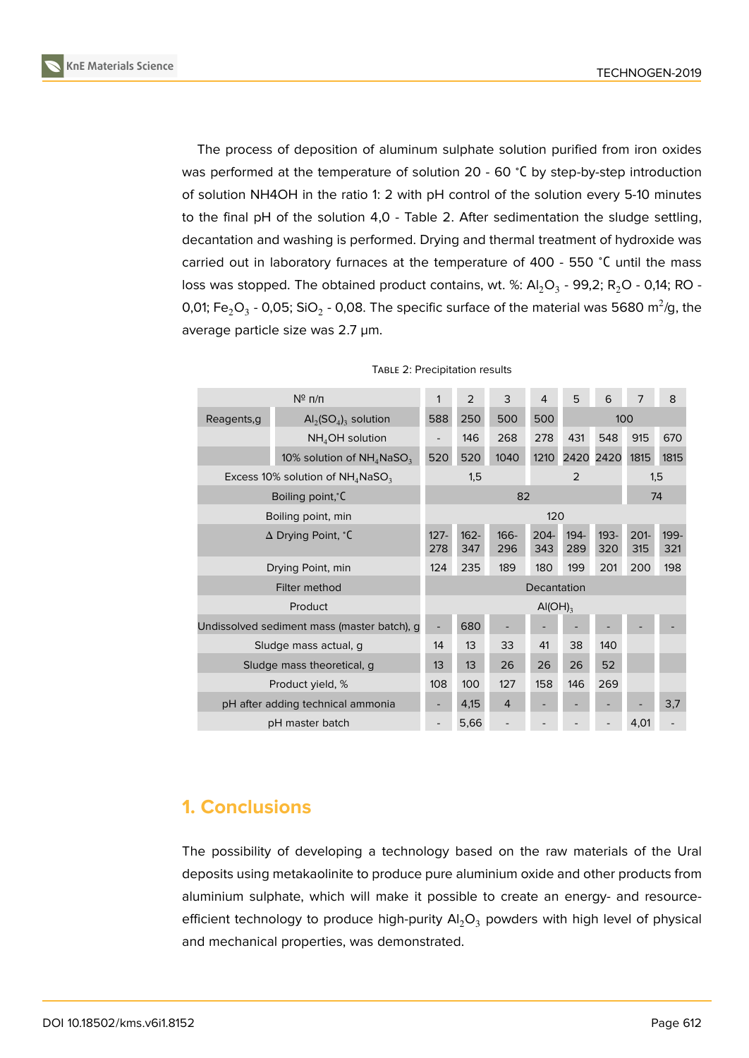

The process of deposition of aluminum sulphate solution purified from iron oxides was performed at the temperature of solution 20 - 60 ℃ by step-by-step introduction of solution NH4OH in the ratio 1: 2 with pH control of the solution every 5-10 minutes to the final pH of the solution 4,0 - Table 2. After sedimentation the sludge settling, decantation and washing is performed. Drying and thermal treatment of hydroxide was carried out in laboratory furnaces at the temperature of 400 - 550 <sup>∘</sup>С until the mass loss was stopped. The obtained product contains, wt. %: Al $_2$ O<sub>3</sub> - 99,2; R $_2$ O - 0,14; RO -0,01; Fe $_{2}$ O $_{3}$  - 0,05; SiO $_{2}$  - 0,08. The specific surface of the material was 5680 m $^{2}$ /g, the average particle size was 2.7 µm.

| $N^{\circ}$ n/n                                 |                                                      |             | $\overline{2}$           | 3              | 4              | 5              | 6              | $\overline{7}$ | 8           |  |  |
|-------------------------------------------------|------------------------------------------------------|-------------|--------------------------|----------------|----------------|----------------|----------------|----------------|-------------|--|--|
| Reagents, q                                     | $\mathsf{Al}_2(\mathsf{SO}_4)$ <sub>3</sub> solution | 588         | 500<br>500<br>250        |                |                |                |                |                | 100         |  |  |
|                                                 | $NH4OH$ solution                                     |             | 146                      | 268            | 278            | 431            | 548            | 915            | 670         |  |  |
|                                                 | 10% solution of $NH_4N$ aSO <sub>3</sub>             | 520         | 520                      | 1040           | 1210           | 2420           | 2420           | 1815           | 1815        |  |  |
| Excess 10% solution of $NH_4N$ aSO <sub>3</sub> |                                                      |             | 1,5<br>$\overline{2}$    |                |                |                |                | 1,5            |             |  |  |
| Boiling point, C                                |                                                      |             | 82<br>74                 |                |                |                |                |                |             |  |  |
| Boiling point, min                              |                                                      |             | 120                      |                |                |                |                |                |             |  |  |
| ∆ Drying Point, °C                              |                                                      |             | $162 -$<br>347           | 166-<br>296    | $204 -$<br>343 | $194 -$<br>289 | $193 -$<br>320 | $201 -$<br>315 | 199-<br>321 |  |  |
| Drying Point, min                               |                                                      |             | 235                      | 189            | 180            | 199            | 201            | 200            | 198         |  |  |
| Filter method                                   |                                                      | Decantation |                          |                |                |                |                |                |             |  |  |
| Product                                         |                                                      |             | $\text{Al}(\text{OH})_3$ |                |                |                |                |                |             |  |  |
| Undissolved sediment mass (master batch), q     |                                                      |             | 680                      |                |                |                |                |                |             |  |  |
| Sludge mass actual, g                           |                                                      | 14          | 13                       | 33             | 41             | 38             | 140            |                |             |  |  |
| Sludge mass theoretical, g                      |                                                      | 13          | 13                       | 26             | 26             | 26             | 52             |                |             |  |  |
| Product yield, %                                |                                                      | 108         | 100                      | 127            | 158            | 146            | 269            |                |             |  |  |
| pH after adding technical ammonia               |                                                      |             | 4,15                     | $\overline{4}$ |                |                |                |                | 3,7         |  |  |
| pH master batch                                 |                                                      |             | 5,66                     |                |                |                |                | 4,01           |             |  |  |

#### TABLE 2: Precipitation results

## **1. Conclusions**

The possibility of developing a technology based on the raw materials of the Ural deposits using metakaolinite to produce pure aluminium oxide and other products from aluminium sulphate, which will make it possible to create an energy- and resourceefficient technology to produce high-purity  $Al_2O_3$  powders with high level of physical and mechanical properties, was demonstrated.